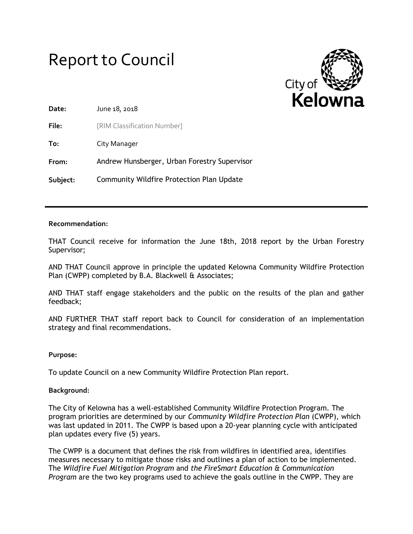



**Date:** June 18, 2018 **File:** [RIM Classification Number] **To:** City Manager **From:** Andrew Hunsberger, Urban Forestry Supervisor **Subject:** Community Wildfire Protection Plan Update

## **Recommendation:**

THAT Council receive for information the June 18th, 2018 report by the Urban Forestry Supervisor;

AND THAT Council approve in principle the updated Kelowna Community Wildfire Protection Plan (CWPP) completed by B.A. Blackwell & Associates;

AND THAT staff engage stakeholders and the public on the results of the plan and gather feedback;

AND FURTHER THAT staff report back to Council for consideration of an implementation strategy and final recommendations.

#### **Purpose:**

To update Council on a new Community Wildfire Protection Plan report.

### **Background:**

The City of Kelowna has a well-established Community Wildfire Protection Program. The program priorities are determined by our *Community Wildfire Protection Plan* (CWPP), which was last updated in 2011. The CWPP is based upon a 20-year planning cycle with anticipated plan updates every five (5) years.

The CWPP is a document that defines the risk from wildfires in identified area, identifies measures necessary to mitigate those risks and outlines a plan of action to be implemented. The *Wildfire Fuel Mitigation Program* and *the FireSmart Education & Communication Program* are the two key programs used to achieve the goals outline in the CWPP. They are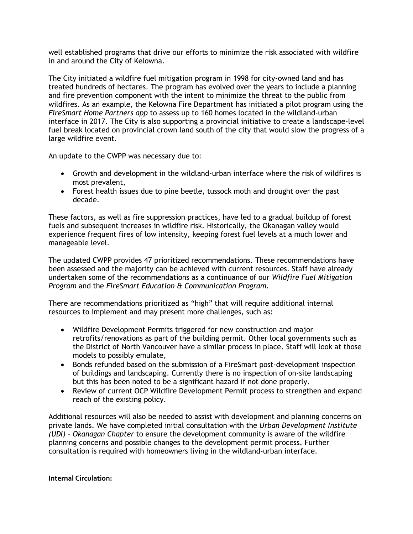well established programs that drive our efforts to minimize the risk associated with wildfire in and around the City of Kelowna.

The City initiated a wildfire fuel mitigation program in 1998 for city-owned land and has treated hundreds of hectares. The program has evolved over the years to include a planning and fire prevention component with the intent to minimize the threat to the public from wildfires. As an example, the Kelowna Fire Department has initiated a pilot program using the *FireSmart Home Partners app* to assess up to 160 homes located in the wildland-urban interface in 2017. The City is also supporting a provincial initiative to create a landscape-level fuel break located on provincial crown land south of the city that would slow the progress of a large wildfire event.

An update to the CWPP was necessary due to:

- Growth and development in the wildland-urban interface where the risk of wildfires is most prevalent,
- Forest health issues due to pine beetle, tussock moth and drought over the past decade.

These factors, as well as fire suppression practices, have led to a gradual buildup of forest fuels and subsequent increases in wildfire risk. Historically, the Okanagan valley would experience frequent fires of low intensity, keeping forest fuel levels at a much lower and manageable level.

The updated CWPP provides 47 prioritized recommendations. These recommendations have been assessed and the majority can be achieved with current resources. Staff have already undertaken some of the recommendations as a continuance of our *Wildfire Fuel Mitigation Program* and the *FireSmart Education & Communication Program.*

There are recommendations prioritized as "high" that will require additional internal resources to implement and may present more challenges, such as:

- Wildfire Development Permits triggered for new construction and major retrofits/renovations as part of the building permit. Other local governments such as the District of North Vancouver have a similar process in place. Staff will look at those models to possibly emulate,
- Bonds refunded based on the submission of a FireSmart post-development inspection of buildings and landscaping. Currently there is no inspection of on-site landscaping but this has been noted to be a significant hazard if not done properly.
- Review of current OCP Wildfire Development Permit process to strengthen and expand reach of the existing policy.

Additional resources will also be needed to assist with development and planning concerns on private lands. We have completed initial consultation with the *Urban Development Institute (UDI) – Okanagan Chapter* to ensure the development community is aware of the wildfire planning concerns and possible changes to the development permit process. Further consultation is required with homeowners living in the wildland-urban interface.

**Internal Circulation:**